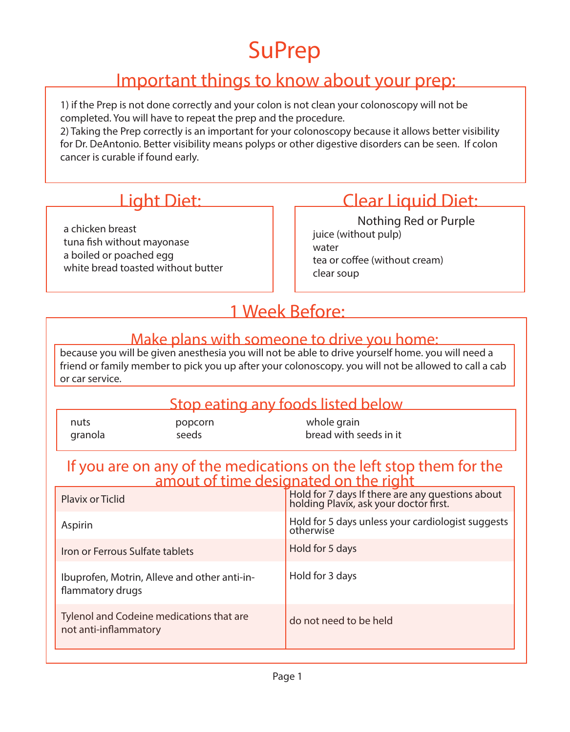## SuPrep

#### Important things to know about your prep:

1) if the Prep is not done correctly and your colon is not clean your colonoscopy will not be completed. You will have to repeat the prep and the procedure.

2) Taking the Prep correctly is an important for your colonoscopy because it allows better visibility for Dr. DeAntonio. Better visibility means polyps or other digestive disorders can be seen. If colon cancer is curable if found early.

a chicken breast tuna fish without mayonase a boiled or poached egg white bread toasted without butter

### Light Diet: Clear Liquid Diet:

juice (without pulp) water tea or coffee (without cream) clear soup Nothing Red or Purple

#### 1 Week Before:

#### Make plans with someone to drive you home:

because you will be given anesthesia you will not be able to drive yourself home. you will need a friend or family member to pick you up after your colonoscopy. you will not be allowed to call a cab or car service.

#### Stop eating any foods listed below

|         |         | whole grain            |
|---------|---------|------------------------|
| nuts    | popcorn |                        |
| granola | seeds   | bread with seeds in it |

## If you are on any of the medications on the left stop them for the amout of time designated on the right

| <b>Plavix or Ticlid</b>                                           | Hold for 7 days If there are any questions about<br>holding Plavix, ask your doctor first. |
|-------------------------------------------------------------------|--------------------------------------------------------------------------------------------|
| Aspirin                                                           | Hold for 5 days unless your cardiologist suggests<br>otherwise                             |
| Iron or Ferrous Sulfate tablets                                   | Hold for 5 days                                                                            |
| Ibuprofen, Motrin, Alleve and other anti-in-<br>flammatory drugs  | Hold for 3 days                                                                            |
| Tylenol and Codeine medications that are<br>not anti-inflammatory | do not need to be held                                                                     |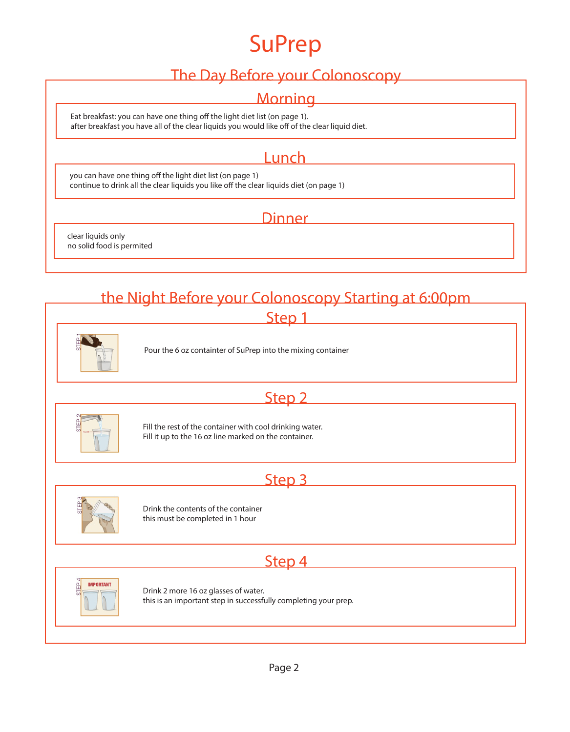## SuPrep

#### The Day Before your Colonoscopy

#### **Morning**

Eat breakfast: you can have one thing off the light diet list (on page 1). after breakfast you have all of the clear liquids you would like off of the clear liquid diet.

#### **Lunch**

<u> 1989 - Johann Barn, mars eta bainar e</u>

you can have one thing off the light diet list (on page 1) continue to drink all the clear liquids you like off the clear liquids diet (on page 1)

#### Dinner

clear liquids only no solid food is permited

#### the Night Before your Colonoscopy Starting at 6:00pm

Step 1

Pour the 6 oz containter of SuPrep into the mixing container

#### Step 2



Fill the rest of the container with cool drinking water. Fill it up to the 16 oz line marked on the container.

#### Step 3 and the step 3 and 2 and 2 and 2 and 2 and 2 and 2 and 2 and 2 and 2 and 2 and 2 and 2 and 2 and 2 and 2 and 2 and 2 and 2 and 2 and 2 and 2 and 2 and 2 and 2 and 2 and 2 and 2 and 2 and 2 and 2 and 2 and 2 and 2 an



Drink the contents of the container this must be completed in 1 hour

#### Step 4 and the step 4 and the step 4 and the step 4 and the step 4 and the step 4 and the step 4 and the step 4



Drink 2 more 16 oz glasses of water. this is an important step in successfully completing your prep.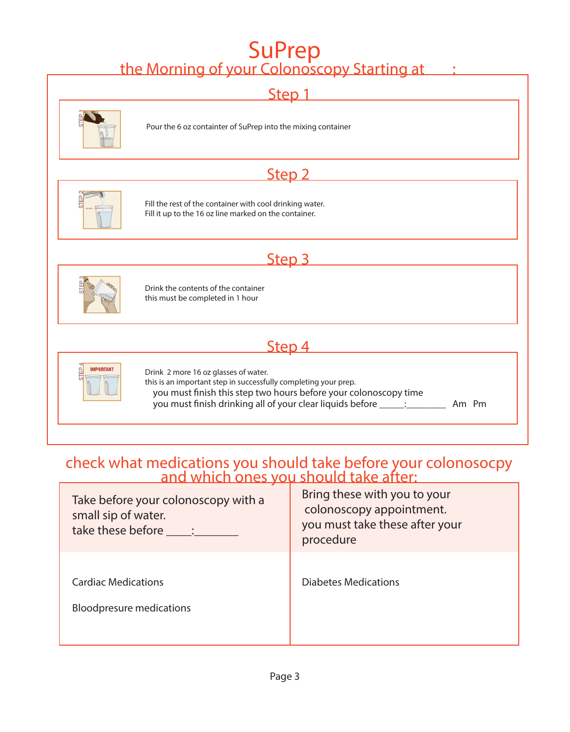# SuPrep<br>the Morning of your Colonoscopy Starting at :



## check what medications you should take before your colonosocpy and which ones you should take after:

| Take before your colonoscopy with a<br>small sip of water.<br>take these before _____: | Bring these with you to your<br>colonoscopy appointment.<br>you must take these after your<br>procedure |
|----------------------------------------------------------------------------------------|---------------------------------------------------------------------------------------------------------|
| <b>Cardiac Medications</b><br><b>Bloodpresure medications</b>                          | <b>Diabetes Medications</b>                                                                             |